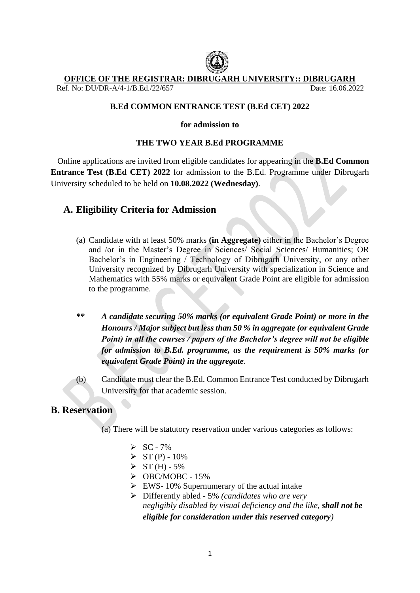

### **OFFICE OF THE REGISTRAR: DIBRUGARH UNIVERSITY:: DIBRUGARH**

Ref. No: DU/DR-A/4-1/B.Ed./22/657 Date: 16.06.2022

# **B.Ed COMMON ENTRANCE TEST (B.Ed CET) 2022**

#### **for admission to**

# **THE TWO YEAR B.Ed PROGRAMME**

Online applications are invited from eligible candidates for appearing in the **B.Ed Common Entrance Test (B.Ed CET) 2022** for admission to the B.Ed. Programme under Dibrugarh University scheduled to be held on **10.08.2022 (Wednesday)**.

# **A. Eligibility Criteria for Admission**

- (a) Candidate with at least 50% marks **(in Aggregate)** either in the Bachelor's Degree and /or in the Master's Degree in Sciences/ Social Sciences/ Humanities; OR Bachelor's in Engineering / Technology of Dibrugarh University, or any other University recognized by Dibrugarh University with specialization in Science and Mathematics with 55% marks or equivalent Grade Point are eligible for admission to the programme.
- *\*\* A candidate securing 50% marks (or equivalent Grade Point) or more in the Honours / Major subject but less than 50 % in aggregate (or equivalent Grade Point) in all the courses / papers of the Bachelor's degree will not be eligible for admission to B.Ed. programme, as the requirement is 50% marks (or equivalent Grade Point) in the aggregate*.
- (b) Candidate must clear the B.Ed. Common Entrance Test conducted by Dibrugarh University for that academic session.

# **B. Reservation**

(a) There will be statutory reservation under various categories as follows:

- $\triangleright$  SC 7%
- $>ST(P) 10\%$
- $> ST(H) 5\%$
- $\triangleright$  OBC/MOBC 15%
- $\triangleright$  EWS- 10% Supernumerary of the actual intake
- ➢ Differently abled 5% *(candidates who are very negligibly disabled by visual deficiency and the like, shall not be eligible for consideration under this reserved category)*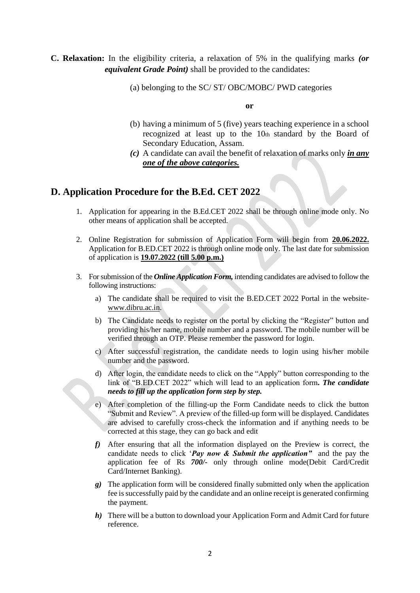# **C. Relaxation:** In the eligibility criteria, a relaxation of 5% in the qualifying marks *(or equivalent Grade Point)* shall be provided to the candidates:

**or**

- (b) having a minimum of 5 (five) years teaching experience in a school recognized at least up to the 10th standard by the Board of Secondary Education, Assam.
- *(c)* A candidate can avail the benefit of relaxation of marks only *in any one of the above categories.*

# **D. Application Procedure for the B.Ed. CET 2022**

- 1. Application for appearing in the B.Ed.CET 2022 shall be through online mode only. No other means of application shall be accepted.
- 2. Online Registration for submission of Application Form will begin from **20.06.2022.**  Application for B.ED.CET 2022 is through online mode only. The last date for submission of application is **19.07.2022 (till 5.00 p.m.)**
- 3. For submission of the *Online Application Form,* intending candidates are advised to follow the following instructions:
	- a) The candidate shall be required to visit the B.ED.CET 2022 Portal in the website[www.dibru.ac.in.](http://www.dibru.ac.in/)
	- b) The Candidate needs to register on the portal by clicking the "Register" button and providing his/her name, mobile number and a password. The mobile number will be verified through an OTP. Please remember the password for login.
	- c) After successful registration, the candidate needs to login using his/her mobile number and the password.
	- d) After login, the candidate needs to click on the "Apply" button corresponding to the link of "B.ED.CET 2022" which will lead to an application form*. The candidate needs to fill up the application form step by step.*
	- e) After completion of the filling-up the Form Candidate needs to click the button "Submit and Review". A preview of the filled-up form will be displayed. Candidates are advised to carefully cross-check the information and if anything needs to be corrected at this stage, they can go back and edit
	- *f)* After ensuring that all the information displayed on the Preview is correct, the candidate needs to click '*Pay now & Submit the application"* and the pay the application fee of Rs *700/-* only through online mode(Debit Card/Credit Card/Internet Banking).
	- *g)* The application form will be considered finally submitted only when the application fee is successfully paid by the candidate and an online receipt is generated confirming the payment.
	- *h)* There will be a button to download your Application Form and Admit Card for future reference.

<sup>(</sup>a) belonging to the SC/ ST/ OBC/MOBC/ PWD categories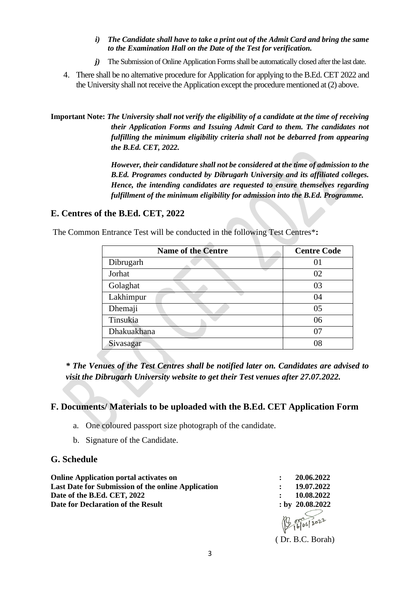- *i) The Candidate shall have to take a print out of the Admit Card and bring the same to the Examination Hall on the Date of the Test for verification.*
- *j)* The Submission of Online Application Forms shall be automatically closed after the last date.
- 4. There shall be no alternative procedure for Application for applying to the B.Ed. CET 2022 and the University shall not receive the Application except the procedure mentioned at (2) above.

**Important Note:** *The University shall not verify the eligibility of a candidate at the time of receiving their Application Forms and Issuing Admit Card to them. The candidates not fulfilling the minimum eligibility criteria shall not be debarred from appearing the B.Ed. CET, 2022.*

> *However, their candidature shall not be considered at the time of admission to the B.Ed. Programes conducted by Dibrugarh University and its affiliated colleges. Hence, the intending candidates are requested to ensure themselves regarding fulfillment of the minimum eligibility for admission into the B.Ed. Programme.*

### **E. Centres of the B.Ed. CET, 2022**

The Common Entrance Test will be conducted in the following Test Centres\***:**

| <b>Name of the Centre</b> | <b>Centre Code</b> |
|---------------------------|--------------------|
| Dibrugarh                 | 01                 |
| Jorhat                    | 02                 |
| Golaghat                  | 03                 |
| Lakhimpur                 | 04                 |
| Dhemaji                   | 05                 |
| Tinsukia                  | 06                 |
| Dhakuakhana               | 07                 |
| Sivasagar                 | 08                 |

*\* The Venues of the Test Centres shall be notified later on. Candidates are advised to visit the Dibrugarh University website to get their Test venues after 27.07.2022.*

#### **F. Documents/ Materials to be uploaded with the B.Ed. CET Application Form**

- a. One coloured passport size photograph of the candidate.
- b. Signature of the Candidate.

### **G. Schedule**

| <b>Online Application portal activates on</b>             | 20.06.2022<br>$\ddot{\cdot}$ |
|-----------------------------------------------------------|------------------------------|
| <b>Last Date for Submission of the online Application</b> | 19.07.2022<br>$\bullet$      |
| Date of the B.Ed. CET, 2022                               | 10.08.2022                   |
| Date for Declaration of the Result                        | $:$ by 20.08.2022            |
|                                                           | 160622                       |

( Dr. B.C. Borah)